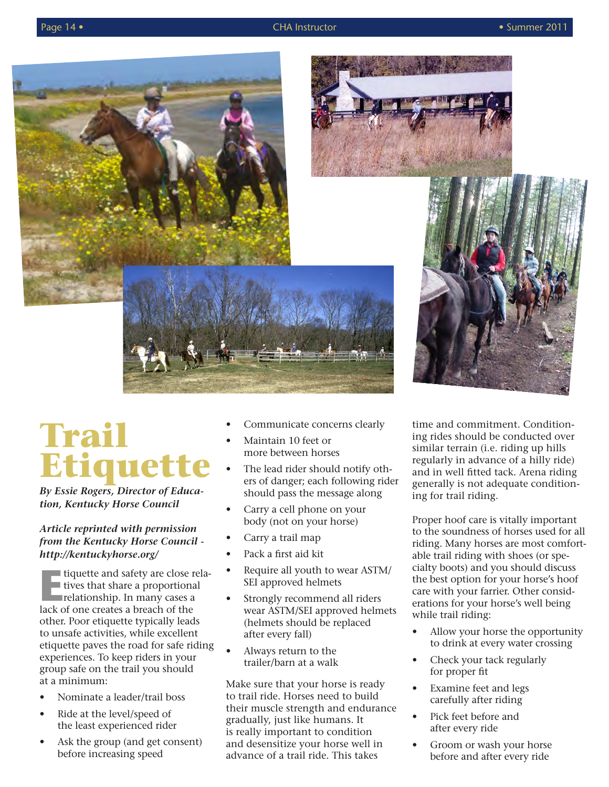



## **Trail Etiquet**

*By Essie Rogers, Director of Education, Kentucky Horse Council*

## *Article reprinted with permission from the Kentucky Horse Council http://kentuckyhorse.org/*

**EXECUTE:** For tiquette and safety are close relationship. In many cases a lack of one creates a breach of the tiquette and safety are close relatives that share a proportional lack of one creates a breach of the other. Poor etiquette typically leads to unsafe activities, while excellent etiquette paves the road for safe riding experiences. To keep riders in your group safe on the trail you should at a minimum:

- Nominate a leader/trail boss
- Ride at the level/speed of the least experienced rider
- Ask the group (and get consent) before increasing speed
- Communicate concerns clearly
- Maintain 10 feet or more between horses
- The lead rider should notify others of danger; each following rider should pass the message along
- Carry a cell phone on your body (not on your horse)
- Carry a trail map
- Pack a first aid kit
- Require all youth to wear ASTM/ SEI approved helmets
- Strongly recommend all riders wear ASTM/SEI approved helmets (helmets should be replaced after every fall)
- Always return to the trailer/barn at a walk

Make sure that your horse is ready to trail ride. Horses need to build their muscle strength and endurance gradually, just like humans. It is really important to condition and desensitize your horse well in advance of a trail ride. This takes

time and commitment. Conditioning rides should be conducted over similar terrain (i.e. riding up hills regularly in advance of a hilly ride) and in well fitted tack. Arena riding generally is not adequate conditioning for trail riding.

Proper hoof care is vitally important to the soundness of horses used for all riding. Many horses are most comfortable trail riding with shoes (or specialty boots) and you should discuss the best option for your horse's hoof care with your farrier. Other considerations for your horse's well being while trail riding:

- Allow your horse the opportunity to drink at every water crossing
- Check your tack regularly for proper fit
- Examine feet and legs carefully after riding
- Pick feet before and after every ride
- Groom or wash your horse before and after every ride